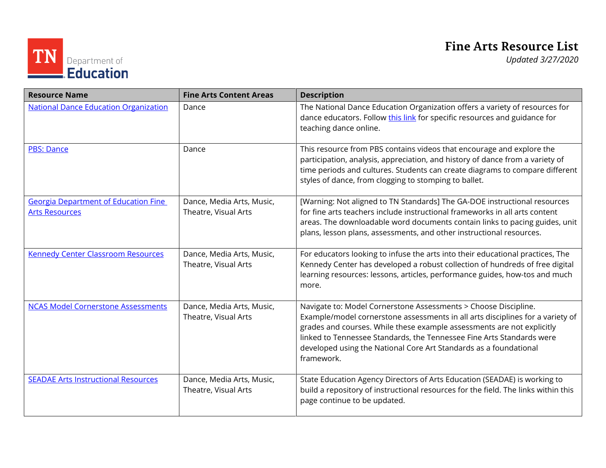## **Fine Arts Resource List**

TN Department of

| <b>Resource Name</b>                                                 | <b>Fine Arts Content Areas</b>                    | <b>Description</b>                                                                                                                                                                                                                                                                                                                                                                      |
|----------------------------------------------------------------------|---------------------------------------------------|-----------------------------------------------------------------------------------------------------------------------------------------------------------------------------------------------------------------------------------------------------------------------------------------------------------------------------------------------------------------------------------------|
| <b>National Dance Education Organization</b>                         | Dance                                             | The National Dance Education Organization offers a variety of resources for<br>dance educators. Follow this link for specific resources and guidance for<br>teaching dance online.                                                                                                                                                                                                      |
| <b>PBS: Dance</b>                                                    | Dance                                             | This resource from PBS contains videos that encourage and explore the<br>participation, analysis, appreciation, and history of dance from a variety of<br>time periods and cultures. Students can create diagrams to compare different<br>styles of dance, from clogging to stomping to ballet.                                                                                         |
| <b>Georgia Department of Education Fine</b><br><b>Arts Resources</b> | Dance, Media Arts, Music,<br>Theatre, Visual Arts | [Warning: Not aligned to TN Standards] The GA-DOE instructional resources<br>for fine arts teachers include instructional frameworks in all arts content<br>areas. The downloadable word documents contain links to pacing guides, unit<br>plans, lesson plans, assessments, and other instructional resources.                                                                         |
| <b>Kennedy Center Classroom Resources</b>                            | Dance, Media Arts, Music,<br>Theatre, Visual Arts | For educators looking to infuse the arts into their educational practices, The<br>Kennedy Center has developed a robust collection of hundreds of free digital<br>learning resources: lessons, articles, performance guides, how-tos and much<br>more.                                                                                                                                  |
| <b>NCAS Model Cornerstone Assessments</b>                            | Dance, Media Arts, Music,<br>Theatre, Visual Arts | Navigate to: Model Cornerstone Assessments > Choose Discipline.<br>Example/model cornerstone assessments in all arts disciplines for a variety of<br>grades and courses. While these example assessments are not explicitly<br>linked to Tennessee Standards, the Tennessee Fine Arts Standards were<br>developed using the National Core Art Standards as a foundational<br>framework. |
| <b>SEADAE Arts Instructional Resources</b>                           | Dance, Media Arts, Music,<br>Theatre, Visual Arts | State Education Agency Directors of Arts Education (SEADAE) is working to<br>build a repository of instructional resources for the field. The links within this<br>page continue to be updated.                                                                                                                                                                                         |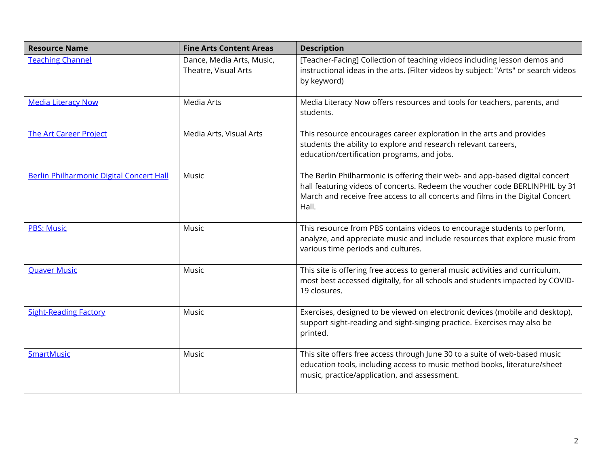| <b>Resource Name</b>                     | <b>Fine Arts Content Areas</b>                    | <b>Description</b>                                                                                                                                                                                                                                     |
|------------------------------------------|---------------------------------------------------|--------------------------------------------------------------------------------------------------------------------------------------------------------------------------------------------------------------------------------------------------------|
| <b>Teaching Channel</b>                  | Dance, Media Arts, Music,<br>Theatre, Visual Arts | [Teacher-Facing] Collection of teaching videos including lesson demos and<br>instructional ideas in the arts. (Filter videos by subject: "Arts" or search videos<br>by keyword)                                                                        |
| <b>Media Literacy Now</b>                | Media Arts                                        | Media Literacy Now offers resources and tools for teachers, parents, and<br>students.                                                                                                                                                                  |
| <b>The Art Career Project</b>            | Media Arts, Visual Arts                           | This resource encourages career exploration in the arts and provides<br>students the ability to explore and research relevant careers,<br>education/certification programs, and jobs.                                                                  |
| Berlin Philharmonic Digital Concert Hall | Music                                             | The Berlin Philharmonic is offering their web- and app-based digital concert<br>hall featuring videos of concerts. Redeem the voucher code BERLINPHIL by 31<br>March and receive free access to all concerts and films in the Digital Concert<br>Hall. |
| <b>PBS: Music</b>                        | Music                                             | This resource from PBS contains videos to encourage students to perform,<br>analyze, and appreciate music and include resources that explore music from<br>various time periods and cultures.                                                          |
| <b>Quaver Music</b>                      | Music                                             | This site is offering free access to general music activities and curriculum,<br>most best accessed digitally, for all schools and students impacted by COVID-<br>19 closures.                                                                         |
| <b>Sight-Reading Factory</b>             | Music                                             | Exercises, designed to be viewed on electronic devices (mobile and desktop),<br>support sight-reading and sight-singing practice. Exercises may also be<br>printed.                                                                                    |
| <b>SmartMusic</b>                        | Music                                             | This site offers free access through June 30 to a suite of web-based music<br>education tools, including access to music method books, literature/sheet<br>music, practice/application, and assessment.                                                |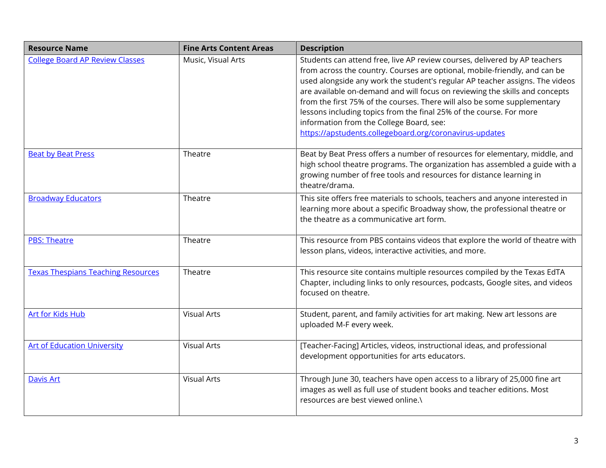| <b>Resource Name</b>                      | <b>Fine Arts Content Areas</b> | <b>Description</b>                                                                                                                                                                                                                                                                                                                                                                                                                                                                                                                                                                |
|-------------------------------------------|--------------------------------|-----------------------------------------------------------------------------------------------------------------------------------------------------------------------------------------------------------------------------------------------------------------------------------------------------------------------------------------------------------------------------------------------------------------------------------------------------------------------------------------------------------------------------------------------------------------------------------|
| <b>College Board AP Review Classes</b>    | Music, Visual Arts             | Students can attend free, live AP review courses, delivered by AP teachers<br>from across the country. Courses are optional, mobile-friendly, and can be<br>used alongside any work the student's regular AP teacher assigns. The videos<br>are available on-demand and will focus on reviewing the skills and concepts<br>from the first 75% of the courses. There will also be some supplementary<br>lessons including topics from the final 25% of the course. For more<br>information from the College Board, see:<br>https://apstudents.collegeboard.org/coronavirus-updates |
| <b>Beat by Beat Press</b>                 | Theatre                        | Beat by Beat Press offers a number of resources for elementary, middle, and<br>high school theatre programs. The organization has assembled a guide with a<br>growing number of free tools and resources for distance learning in<br>theatre/drama.                                                                                                                                                                                                                                                                                                                               |
| <b>Broadway Educators</b>                 | Theatre                        | This site offers free materials to schools, teachers and anyone interested in<br>learning more about a specific Broadway show, the professional theatre or<br>the theatre as a communicative art form.                                                                                                                                                                                                                                                                                                                                                                            |
| <b>PBS: Theatre</b>                       | Theatre                        | This resource from PBS contains videos that explore the world of theatre with<br>lesson plans, videos, interactive activities, and more.                                                                                                                                                                                                                                                                                                                                                                                                                                          |
| <b>Texas Thespians Teaching Resources</b> | Theatre                        | This resource site contains multiple resources compiled by the Texas EdTA<br>Chapter, including links to only resources, podcasts, Google sites, and videos<br>focused on theatre.                                                                                                                                                                                                                                                                                                                                                                                                |
| <b>Art for Kids Hub</b>                   | <b>Visual Arts</b>             | Student, parent, and family activities for art making. New art lessons are<br>uploaded M-F every week.                                                                                                                                                                                                                                                                                                                                                                                                                                                                            |
| <b>Art of Education University</b>        | <b>Visual Arts</b>             | [Teacher-Facing] Articles, videos, instructional ideas, and professional<br>development opportunities for arts educators.                                                                                                                                                                                                                                                                                                                                                                                                                                                         |
| <b>Davis Art</b>                          | <b>Visual Arts</b>             | Through June 30, teachers have open access to a library of 25,000 fine art<br>images as well as full use of student books and teacher editions. Most<br>resources are best viewed online.\                                                                                                                                                                                                                                                                                                                                                                                        |